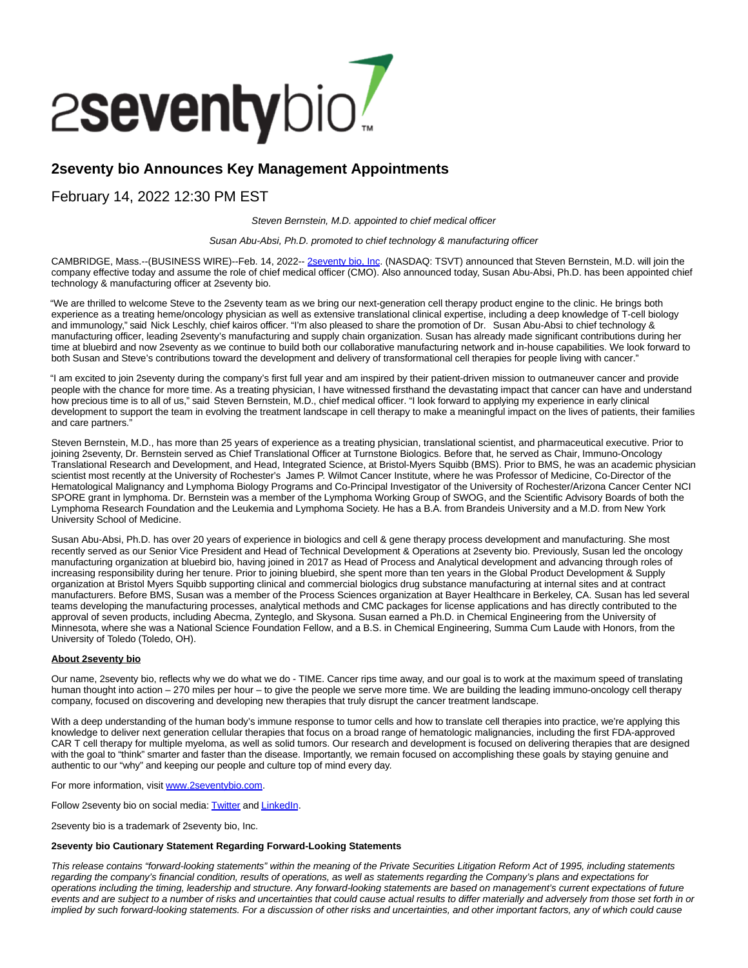

# **2seventy bio Announces Key Management Appointments**

## February 14, 2022 12:30 PM EST

Steven Bernstein, M.D. appointed to chief medical officer

Susan Abu-Absi, Ph.D. promoted to chief technology & manufacturing officer

CAMBRIDGE, Mass.--(BUSINESS WIRE)--Feb. 14, 2022-- [2seventy bio, Inc.](https://cts.businesswire.com/ct/CT?id=smartlink&url=https%3A%2F%2Fwww.2seventybio.com%2F&esheet=52578522&newsitemid=20220214005127&lan=en-US&anchor=2seventy+bio%2C+Inc&index=1&md5=cb10bf06f937f7e2a0ad87eac7ebe082) (NASDAQ: TSVT) announced that Steven Bernstein, M.D. will join the company effective today and assume the role of chief medical officer (CMO). Also announced today, Susan Abu-Absi, Ph.D. has been appointed chief technology & manufacturing officer at 2seventy bio.

"We are thrilled to welcome Steve to the 2seventy team as we bring our next-generation cell therapy product engine to the clinic. He brings both experience as a treating heme/oncology physician as well as extensive translational clinical expertise, including a deep knowledge of T-cell biology and immunology," said Nick Leschly, chief kairos officer. "I'm also pleased to share the promotion of Dr. Susan Abu-Absi to chief technology & manufacturing officer, leading 2seventy's manufacturing and supply chain organization. Susan has already made significant contributions during her time at bluebird and now 2seventy as we continue to build both our collaborative manufacturing network and in-house capabilities. We look forward to both Susan and Steve's contributions toward the development and delivery of transformational cell therapies for people living with cancer."

"I am excited to join 2seventy during the company's first full year and am inspired by their patient-driven mission to outmaneuver cancer and provide people with the chance for more time. As a treating physician, I have witnessed firsthand the devastating impact that cancer can have and understand how precious time is to all of us," said Steven Bernstein, M.D., chief medical officer. "I look forward to applying my experience in early clinical development to support the team in evolving the treatment landscape in cell therapy to make a meaningful impact on the lives of patients, their families and care partners."

Steven Bernstein, M.D., has more than 25 years of experience as a treating physician, translational scientist, and pharmaceutical executive. Prior to joining 2seventy, Dr. Bernstein served as Chief Translational Officer at Turnstone Biologics. Before that, he served as Chair, Immuno-Oncology Translational Research and Development, and Head, Integrated Science, at Bristol-Myers Squibb (BMS). Prior to BMS, he was an academic physician scientist most recently at the University of Rochester's James P. Wilmot Cancer Institute, where he was Professor of Medicine, Co-Director of the Hematological Malignancy and Lymphoma Biology Programs and Co-Principal Investigator of the University of Rochester/Arizona Cancer Center NCI SPORE grant in lymphoma. Dr. Bernstein was a member of the Lymphoma Working Group of SWOG, and the Scientific Advisory Boards of both the Lymphoma Research Foundation and the Leukemia and Lymphoma Society. He has a B.A. from Brandeis University and a M.D. from New York University School of Medicine.

Susan Abu-Absi, Ph.D. has over 20 years of experience in biologics and cell & gene therapy process development and manufacturing. She most recently served as our Senior Vice President and Head of Technical Development & Operations at 2seventy bio. Previously, Susan led the oncology manufacturing organization at bluebird bio, having joined in 2017 as Head of Process and Analytical development and advancing through roles of increasing responsibility during her tenure. Prior to joining bluebird, she spent more than ten years in the Global Product Development & Supply organization at Bristol Myers Squibb supporting clinical and commercial biologics drug substance manufacturing at internal sites and at contract manufacturers. Before BMS, Susan was a member of the Process Sciences organization at Bayer Healthcare in Berkeley, CA. Susan has led several teams developing the manufacturing processes, analytical methods and CMC packages for license applications and has directly contributed to the approval of seven products, including Abecma, Zynteglo, and Skysona. Susan earned a Ph.D. in Chemical Engineering from the University of Minnesota, where she was a National Science Foundation Fellow, and a B.S. in Chemical Engineering, Summa Cum Laude with Honors, from the University of Toledo (Toledo, OH).

#### **About 2seventy bio**

Our name, 2seventy bio, reflects why we do what we do - TIME. Cancer rips time away, and our goal is to work at the maximum speed of translating human thought into action – 270 miles per hour – to give the people we serve more time. We are building the leading immuno-oncology cell therapy company, focused on discovering and developing new therapies that truly disrupt the cancer treatment landscape.

With a deep understanding of the human body's immune response to tumor cells and how to translate cell therapies into practice, we're applying this knowledge to deliver next generation cellular therapies that focus on a broad range of hematologic malignancies, including the first FDA-approved CAR T cell therapy for multiple myeloma, as well as solid tumors. Our research and development is focused on delivering therapies that are designed with the goal to "think" smarter and faster than the disease. Importantly, we remain focused on accomplishing these goals by staying genuine and authentic to our "why" and keeping our people and culture top of mind every day.

For more information, visit [www.2seventybio.com.](https://cts.businesswire.com/ct/CT?id=smartlink&url=http%3A%2F%2Fwww.2seventybio.com&esheet=52578522&newsitemid=20220214005127&lan=en-US&anchor=www.2seventybio.com&index=2&md5=c07298faf9fadc05d4063eb13f86748e)

Follow 2seventy bio on social media[: Twitter a](https://cts.businesswire.com/ct/CT?id=smartlink&url=https%3A%2F%2Ftwitter.com%2F2seventybio&esheet=52578522&newsitemid=20220214005127&lan=en-US&anchor=Twitter&index=3&md5=48a5948f7e96486346fc595b4fcf0641)n[d LinkedIn.](https://cts.businesswire.com/ct/CT?id=smartlink&url=https%3A%2F%2Fwww.linkedin.com%2Fcompany%2F2seventybio&esheet=52578522&newsitemid=20220214005127&lan=en-US&anchor=LinkedIn&index=4&md5=d7945437c8bd96b1a21a665e00605610)

2seventy bio is a trademark of 2seventy bio, Inc.

#### **2seventy bio Cautionary Statement Regarding Forward-Looking Statements**

This release contains "forward-looking statements" within the meaning of the Private Securities Litigation Reform Act of 1995, including statements regarding the company's financial condition, results of operations, as well as statements regarding the Company's plans and expectations for operations including the timing, leadership and structure. Any forward-looking statements are based on management's current expectations of future events and are subject to a number of risks and uncertainties that could cause actual results to differ materially and adversely from those set forth in or implied by such forward-looking statements. For a discussion of other risks and uncertainties, and other important factors, any of which could cause